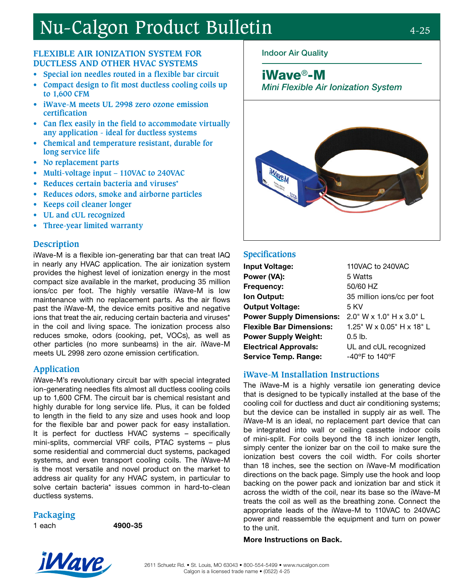# Nu-Calgon Product Bulletin 4-25

#### **FLEXIBLE AIR IONIZATION SYSTEM FOR DUCTLESS AND OTHER HVAC SYSTEMS**

- **• Special ion needles routed in a flexible bar circuit**
- **• Compact design to fit most ductless cooling coils up to 1,600 CFM**
- **• iWave-M meets UL 2998 zero ozone emission certification**
- **• Can flex easily in the field to accommodate virtually any application - ideal for ductless systems**
- **• Chemical and temperature resistant, durable for long service life**
- **• No replacement parts**
- **• Multi-voltage input 110VAC to 240VAC**
- **• Reduces certain bacteria and viruses\***
- **• Reduces odors, smoke and airborne particles**
- **• Keeps coil cleaner longer**
- **• UL and cUL recognized**
- **• Three-year limited warranty**

#### **Description**

iWave-M is a flexible ion-generating bar that can treat IAQ in nearly any HVAC application. The air ionization system provides the highest level of ionization energy in the most compact size available in the market, producing 35 million ions/cc per foot. The highly versatile iWave-M is low maintenance with no replacement parts. As the air flows past the iWave-M, the device emits positive and negative ions that treat the air, reducing certain bacteria and viruses\* in the coil and living space. The ionization process also reduces smoke, odors (cooking, pet, VOCs), as well as other particles (no more sunbeams) in the air. iWave-M meets UL 2998 zero ozone emission certification.

#### **Application**

iWave-M's revolutionary circuit bar with special integrated ion-generating needles fits almost all ductless cooling coils up to 1,600 CFM. The circuit bar is chemical resistant and highly durable for long service life. Plus, it can be folded to length in the field to any size and uses hook and loop for the flexible bar and power pack for easy installation. It is perfect for ductless HVAC systems – specifically mini-splits, commercial VRF coils, PTAC systems – plus some residential and commercial duct systems, packaged systems, and even transport cooling coils. The iWave-M is the most versatile and novel product on the market to address air quality for any HVAC system, in particular to solve certain bacteria\* issues common in hard-to-clean ductless systems.

#### **Packaging**

1 each 4900-35

## Indoor Air Quality

iWave®-M

Mini Flexible Air Ionization System



#### **Specifications**

| <b>Input Voltage:</b>           | 110VAC to 240VAC                                     |
|---------------------------------|------------------------------------------------------|
| Power (VA):                     | 5 Watts                                              |
| Frequency:                      | 50/60 HZ                                             |
| Ion Output:                     | 35 million ions/cc per foot                          |
| <b>Output Voltage:</b>          | 5 KV                                                 |
| <b>Power Supply Dimensions:</b> | $2.0$ " W x 1.0" H x 3.0" L                          |
| <b>Flexible Bar Dimensions:</b> | 1.25" W x 0.05" H x 18" L                            |
| <b>Power Supply Weight:</b>     | $0.5$ lb.                                            |
| <b>Electrical Approvals:</b>    | UL and cUL recognized                                |
| <b>Service Temp. Range:</b>     | -40 $\mathrm{^{\circ}F}$ to 140 $\mathrm{^{\circ}F}$ |

#### **iWave-M Installation Instructions**

The iWave-M is a highly versatile ion generating device that is designed to be typically installed at the base of the cooling coil for ductless and duct air conditioning systems; but the device can be installed in supply air as well. The iWave-M is an ideal, no replacement part device that can be integrated into wall or ceiling cassette indoor coils of mini-split. For coils beyond the 18 inch ionizer length, simply center the ionizer bar on the coil to make sure the ionization best covers the coil width. For coils shorter than 18 inches, see the section on iWave-M modification directions on the back page. Simply use the hook and loop backing on the power pack and ionization bar and stick it across the width of the coil, near its base so the iWave-M treats the coil as well as the breathing zone. Connect the appropriate leads of the iWave-M to 110VAC to 240VAC power and reassemble the equipment and turn on power to the unit.

#### More Instructions on Back.



2611 Schuetz Rd. • St. Louis, MO 63043 • 800-554-5499 • www.nucalgon.com Calgon is a licensed trade name • (0522) 4-25